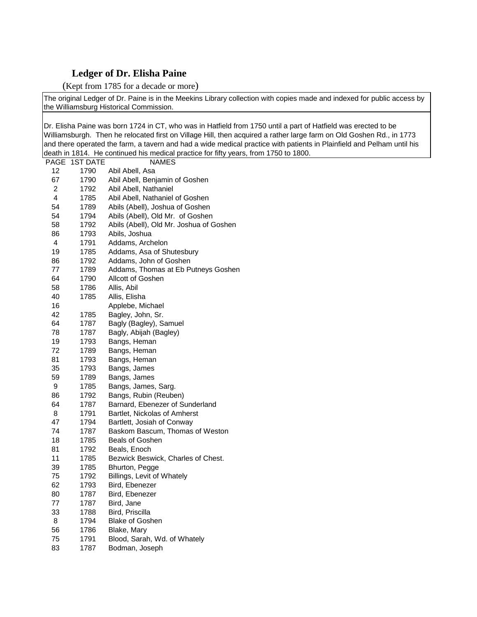## **Ledger of Dr. Elisha Paine**

(Kept from 1785 for a decade or more)

The original Ledger of Dr. Paine is in the Meekins Library collection with copies made and indexed for public access by the Williamsburg Historical Commission.

Dr. Elisha Paine was born 1724 in CT, who was in Hatfield from 1750 until a part of Hatfield was erected to be Williamsburgh. Then he relocated first on Village Hill, then acquired a rather large farm on Old Goshen Rd., in 1773 and there operated the farm, a tavern and had a wide medical practice with patients in Plainfield and Pelham until his death in 1814. He continued his medical practice for fifty years, from 1750 to 1800.

| PAGE | <b>1ST DATE</b> | <b>NAMES</b>                            |
|------|-----------------|-----------------------------------------|
| 12   | 1790            | Abil Abell, Asa                         |
| 67   | 1790            | Abil Abell, Benjamin of Goshen          |
| 2    | 1792            | Abil Abell, Nathaniel                   |
| 4    | 1785            | Abil Abell, Nathaniel of Goshen         |
| 54   | 1789            | Abils (Abell), Joshua of Goshen         |
| 54   | 1794            | Abils (Abell), Old Mr. of Goshen        |
| 58   | 1792            | Abils (Abell), Old Mr. Joshua of Goshen |
| 86   | 1793            | Abils, Joshua                           |
| 4    | 1791            | Addams, Archelon                        |
| 19   | 1785            | Addams, Asa of Shutesbury               |
| 86   | 1792            | Addams, John of Goshen                  |
| 77   | 1789            | Addams, Thomas at Eb Putneys Goshen     |
| 64   | 1790            | Allcott of Goshen                       |
| 58   | 1786            | Allis, Abil                             |
| 40   | 1785            | Allis, Elisha                           |
| 16   |                 | Applebe, Michael                        |
| 42   | 1785            | Bagley, John, Sr.                       |
| 64   | 1787            | Bagly (Bagley), Samuel                  |
| 78   | 1787            | Bagly, Abijah (Bagley)                  |
| 19   | 1793            | Bangs, Heman                            |
| 72   | 1789            | Bangs, Heman                            |
| 81   | 1793            | Bangs, Heman                            |
| 35   | 1793            | Bangs, James                            |
| 59   | 1789            | Bangs, James                            |
| 9    | 1785            | Bangs, James, Sarg.                     |
| 86   | 1792            | Bangs, Rubin (Reuben)                   |
| 64   | 1787            | Barnard, Ebenezer of Sunderland         |
| 8    | 1791            | Bartlet, Nickolas of Amherst            |
| 47   | 1794            | Bartlett, Josiah of Conway              |
| 74   | 1787            | Baskom Bascum, Thomas of Weston         |
| 18   | 1785            | <b>Beals of Goshen</b>                  |
| 81   | 1792            | Beals, Enoch                            |
| 11   | 1785            | Bezwick Beswick, Charles of Chest.      |
| 39   | 1785            | Bhurton, Pegge                          |
| 75   | 1792            | Billings, Levit of Whately              |
| 62   | 1793            | Bird, Ebenezer                          |
| 80   | 1787            | Bird, Ebenezer                          |
| 77   | 1787            | Bird, Jane                              |
| 33   | 1788            | Bird, Priscilla                         |
| 8    | 1794            | <b>Blake of Goshen</b>                  |
| 56   | 1786            | Blake, Mary                             |
| 75   | 1791            | Blood, Sarah, Wd. of Whately            |
| 83   | 1787            | Bodman, Joseph                          |
|      |                 |                                         |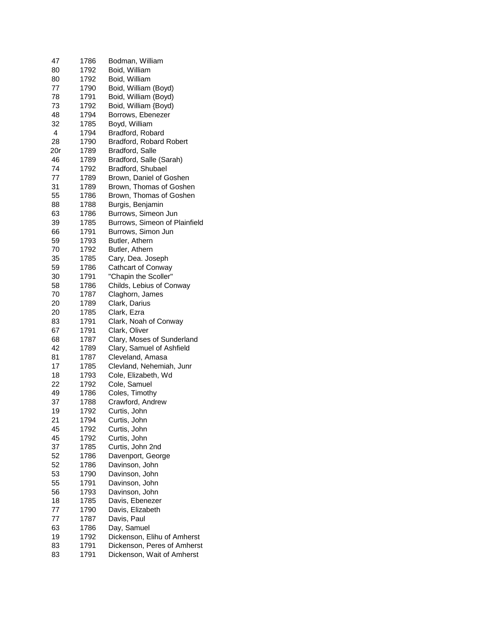| 47  | 1786         | Bodman, William                |
|-----|--------------|--------------------------------|
| 80  | 1792         | Boid, William                  |
| 80  | 1792         | Boid, William                  |
| 77  | 1790         | Boid, William (Boyd)           |
| 78  | 1791         | Boid, William (Boyd)           |
| 73  | 1792         | Boid, William {Boyd)           |
| 48  | 1794         | Borrows, Ebenezer              |
| 32  | 1785         | Boyd, William                  |
| 4   | 1794         | Bradford, Robard               |
| 28  | 1790         | <b>Bradford, Robard Robert</b> |
| 20r | 1789         |                                |
|     |              | Bradford, Salle                |
| 46  | 1789         | Bradford, Salle (Sarah)        |
| 74  | 1792         | Bradford, Shubael              |
| 77  | 1789         | Brown, Daniel of Goshen        |
| 31  | 1789         | Brown, Thomas of Goshen        |
| 55  | 1786         | Brown, Thomas of Goshen        |
| 88  | 1788         | Burgis, Benjamin               |
| 63  | 1786         | Burrows, Simeon Jun            |
| 39  | 1785         | Burrows, Simeon of Plainfield  |
| 66  | 1791         | Burrows, Simon Jun             |
| 59  | 1793         | Butler, Athern                 |
| 70  | 1792         | Butler, Athern                 |
| 35  | 1785         | Cary, Dea. Joseph              |
| 59  | 1786         | Cathcart of Conway             |
| 30  | 1791         | "Chapin the Scoller"           |
| 58  | 1786         | Childs, Lebius of Conway       |
| 70  | 1787         | Claghorn, James                |
| 20  | 1789         | Clark, Darius                  |
| 20  | 1785         | Clark, Ezra                    |
| 83  | 1791         | Clark, Noah of Conway          |
| 67  | 1791         | Clark, Oliver                  |
| 68  | 1787         | Clary, Moses of Sunderland     |
| 42  | 1789         | Clary, Samuel of Ashfield      |
| 81  | 1787         | Cleveland, Amasa               |
| 17  | 1785         | Clevland, Nehemiah, Junr       |
| 18  | 1793         | Cole, Elizabeth, Wd            |
| 22  | 1792         | Cole, Samuel                   |
| 49  | 1786         | Coles, Timothy                 |
| 37  | 1788         | Crawford, Andrew               |
| 19  | 1792         | Curtis, John                   |
| 21  |              |                                |
| 45  | 1794         | Curtis, John<br>Curtis, John   |
| 45  | 1792<br>1792 |                                |
|     |              | Curtis, John                   |
| 37  | 1785         | Curtis, John 2nd               |
| 52  | 1786         | Davenport, George              |
| 52  | 1786         | Davinson, John                 |
| 53  | 1790         | Davinson, John                 |
| 55  | 1791         | Davinson, John                 |
| 56  | 1793         | Davinson, John                 |
| 18  | 1785         | Davis, Ebenezer                |
| 77  | 1790         | Davis, Elizabeth               |
| 77  | 1787         | Davis, Paul                    |
| 63  | 1786         | Day, Samuel                    |
| 19  | 1792         | Dickenson, Elihu of Amherst    |
| 83  | 1791         | Dickenson, Peres of Amherst    |
| 83  | 1791         | Dickenson, Wait of Amherst     |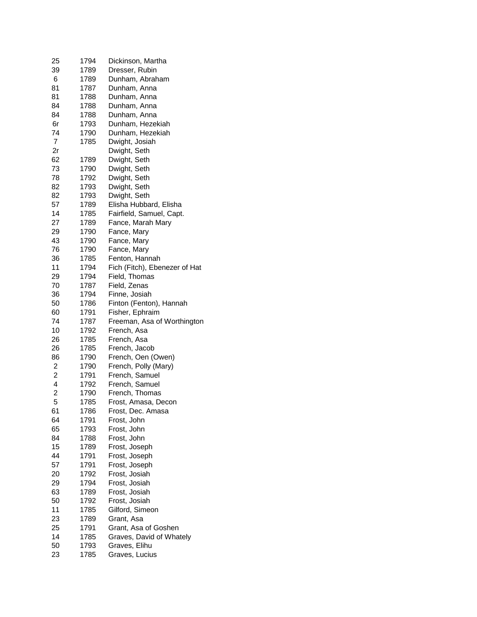| 25                      | 1794 | Dickinson, Martha             |
|-------------------------|------|-------------------------------|
| 39                      | 1789 | Dresser, Rubin                |
| 6                       | 1789 | Dunham, Abraham               |
| 81                      | 1787 | Dunham, Anna                  |
| 81                      | 1788 | Dunham, Anna                  |
| 84                      | 1788 | Dunham, Anna                  |
| 84                      | 1788 | Dunham, Anna                  |
| 6r                      | 1793 | Dunham, Hezekiah              |
| 74                      | 1790 | Dunham, Hezekiah              |
| $\overline{7}$          | 1785 | Dwight, Josiah                |
|                         |      |                               |
| 2r                      |      | Dwight, Seth                  |
| 62                      | 1789 | Dwight, Seth                  |
| 73                      | 1790 | Dwight, Seth                  |
| 78                      | 1792 | Dwight, Seth                  |
| 82                      | 1793 | Dwight, Seth                  |
| 82                      | 1793 | Dwight, Seth                  |
| 57                      | 1789 | Elisha Hubbard, Elisha        |
| 14                      | 1785 | Fairfield, Samuel, Capt.      |
| 27                      | 1789 | Fance, Marah Mary             |
| 29                      | 1790 | Fance, Mary                   |
| 43                      | 1790 | Fance, Mary                   |
|                         |      |                               |
| 76                      | 1790 | Fance, Mary                   |
| 36                      | 1785 | Fenton, Hannah                |
| 11                      | 1794 | Fich (Fitch), Ebenezer of Hat |
| 29                      | 1794 | Field, Thomas                 |
| 70                      | 1787 | Field, Zenas                  |
| 36                      | 1794 | Finne, Josiah                 |
| 50                      | 1786 | Finton (Fenton), Hannah       |
| 60                      | 1791 | Fisher, Ephraim               |
| 74                      | 1787 | Freeman, Asa of Worthington   |
| 10                      | 1792 | French, Asa                   |
| 26                      | 1785 | French, Asa                   |
| 26                      | 1785 | French, Jacob                 |
| 86                      | 1790 | French, Oen (Owen)            |
| 2                       | 1790 |                               |
| $\overline{c}$          |      | French, Polly (Mary)          |
|                         | 1791 | French, Samuel                |
| $\overline{\mathbf{4}}$ | 1792 | French, Samuel                |
| $\overline{c}$          | 1790 | French, Thomas                |
| 5                       | 1785 | Frost, Amasa, Decon           |
| 61                      | 1786 | Frost, Dec. Amasa             |
| 64                      | 1791 | Frost, John                   |
| 65                      | 1793 | Frost, John                   |
| 84                      | 1788 | Frost, John                   |
| 15                      | 1789 | Frost, Joseph                 |
| 44                      | 1791 | Frost, Joseph                 |
| 57                      | 1791 | Frost, Joseph                 |
| 20                      | 1792 | Frost, Josiah                 |
| 29                      | 1794 | Frost, Josiah                 |
| 63                      | 1789 | Frost, Josiah                 |
| 50                      |      | Frost, Josiah                 |
|                         | 1792 |                               |
| 11                      | 1785 | Gilford, Simeon               |
| 23                      | 1789 | Grant, Asa                    |
| 25                      | 1791 | Grant, Asa of Goshen          |
| 14                      | 1785 | Graves, David of Whately      |
| 50                      | 1793 | Graves, Elihu                 |
| 23                      | 1785 | Graves, Lucius                |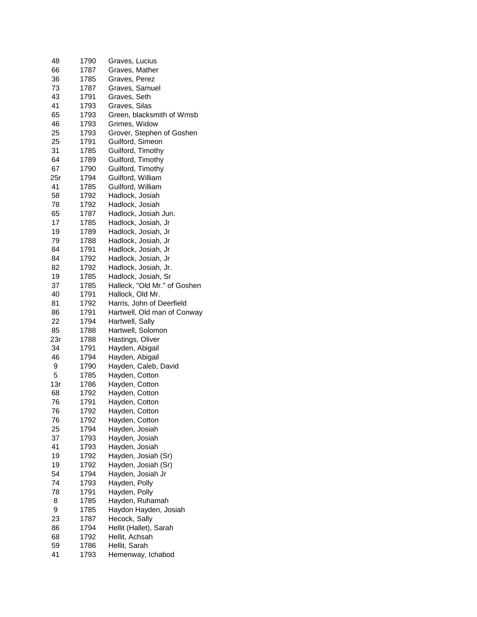| 48  | 1790 | Graves, Lucius               |
|-----|------|------------------------------|
| 66  | 1787 | Graves, Mather               |
| 36  | 1785 | Graves, Perez                |
| 73  | 1787 | Graves, Samuel               |
| 43  | 1791 | Graves, Seth                 |
| 41  | 1793 | Graves, Silas                |
| 65  | 1793 | Green, blacksmith of Wmsb    |
| 46  | 1793 | Grimes, Widow                |
| 25  | 1793 | Grover, Stephen of Goshen    |
| 25  | 1791 | Guilford, Simeon             |
| 31  | 1785 | Guilford, Timothy            |
|     |      | Guilford, Timothy            |
| 64  | 1789 |                              |
| 67  | 1790 | Guilford, Timothy            |
| 25r | 1794 | Guilford, William            |
| 41  | 1785 | Guilford, William            |
| 58  | 1792 | Hadlock, Josiah              |
| 78  | 1792 | Hadlock, Josiah              |
| 65  | 1787 | Hadlock, Josiah Jun.         |
| 17  | 1785 | Hadlock, Josiah, Jr          |
| 19  | 1789 | Hadlock, Josiah, Jr          |
| 79  | 1788 | Hadlock, Josiah, Jr          |
| 84  | 1791 | Hadlock, Josiah, Jr          |
| 84  | 1792 | Hadlock, Josiah, Jr          |
| 82  | 1792 | Hadlock, Josiah, Jr.         |
| 19  | 1785 | Hadlock, Josiah, Sr          |
| 37  | 1785 | Halleck, "Old Mr." of Goshen |
| 40  | 1791 | Hallock, Old Mr.             |
| 81  | 1792 | Harris, John of Deerfield    |
| 86  | 1791 | Hartwell, Old man of Conway  |
| 22  | 1794 | Hartwell, Sally              |
| 85  | 1788 | Hartwell, Solomon            |
| 23r | 1788 | Hastings, Oliver             |
| 34  | 1791 | Hayden, Abigail              |
| 46  | 1794 | Hayden, Abigail              |
| 9   | 1790 | Hayden, Caleb, David         |
| 5   | 1785 | Hayden, Cotton               |
| 13r | 1786 | Hayden, Cotton               |
|     |      |                              |
| 68  | 1792 | Hayden, Cotton               |
| 76  | 1791 | Hayden, Cotton               |
| 76  | 1792 | Hayden, Cotton               |
| 76  | 1792 | Hayden, Cotton               |
| 25  | 1794 | Hayden, Josiah               |
| 37  | 1793 | Hayden, Josiah               |
| 41  | 1793 | Hayden, Josiah               |
| 19  | 1792 | Hayden, Josiah (Sr)          |
| 19  | 1792 | Hayden, Josiah (Sr)          |
| 54  | 1794 | Hayden, Josiah Jr            |
| 74  | 1793 | Hayden, Polly                |
| 78  | 1791 | Hayden, Polly                |
| 8   | 1785 | Hayden, Ruhamah              |
| 9   | 1785 | Haydon Hayden, Josiah        |
| 23  | 1787 | Hecock, Sally                |
| 86  | 1794 | Hellit (Hallet), Sarah       |
| 68  | 1792 | Hellit, Achsah               |
| 59  | 1786 | Hellit, Sarah                |
| 41  | 1793 | Hemenway, Ichabod            |
|     |      |                              |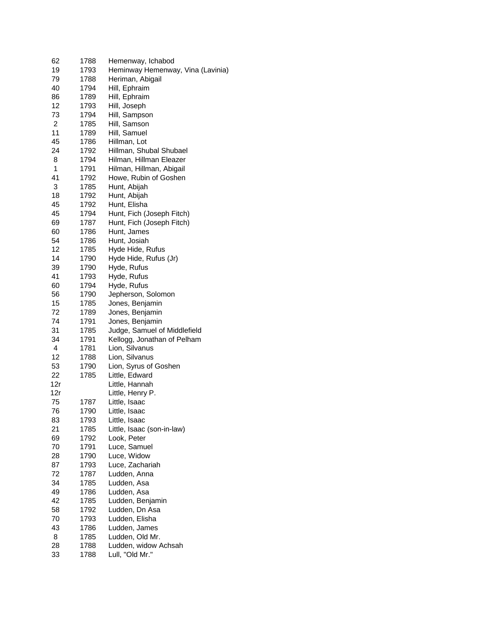| 62  | 1788 | Hemenway, Ichabod                 |
|-----|------|-----------------------------------|
| 19  | 1793 | Heminway Hemenway, Vina (Lavinia) |
| 79  | 1788 | Heriman, Abigail                  |
| 40  | 1794 | Hill, Ephraim                     |
| 86  | 1789 | Hill, Ephraim                     |
| 12  | 1793 | Hill, Joseph                      |
| 73  | 1794 | Hill, Sampson                     |
| 2   | 1785 | Hill, Samson                      |
| 11  | 1789 | Hill, Samuel                      |
| 45  | 1786 | Hillman, Lot                      |
| 24  | 1792 | Hillman, Shubal Shubael           |
| 8   | 1794 | Hilman, Hillman Eleazer           |
| 1   | 1791 | Hilman, Hillman, Abigail          |
| 41  | 1792 | Howe, Rubin of Goshen             |
| 3   | 1785 | Hunt, Abijah                      |
| 18  | 1792 | Hunt, Abijah                      |
| 45  | 1792 | Hunt, Elisha                      |
| 45  | 1794 | Hunt, Fich (Joseph Fitch)         |
| 69  | 1787 | Hunt, Fich (Joseph Fitch)         |
| 60  | 1786 | Hunt, James                       |
| 54  | 1786 | Hunt, Josiah                      |
| 12  | 1785 | Hyde Hide, Rufus                  |
| 14  | 1790 | Hyde Hide, Rufus (Jr)             |
| 39  | 1790 | Hyde, Rufus                       |
| 41  | 1793 | Hyde, Rufus                       |
| 60  | 1794 | Hyde, Rufus                       |
| 56  | 1790 | Jepherson, Solomon                |
| 15  | 1785 | Jones, Benjamin                   |
| 72  | 1789 | Jones, Benjamin                   |
| 74  | 1791 | Jones, Benjamin                   |
| 31  | 1785 | Judge, Samuel of Middlefield      |
| 34  | 1791 | Kellogg, Jonathan of Pelham       |
| 4   | 1781 | Lion, Silvanus                    |
| 12  | 1788 | Lion, Silvanus                    |
| 53  | 1790 | Lion, Syrus of Goshen             |
| 22  | 1785 | Little, Edward                    |
| 12r |      | Little, Hannah                    |
| 12r |      | Little, Henry P.                  |
| 75  | 1787 | Little, Isaac                     |
| 76  | 1790 | Little, Isaac                     |
| 83  |      |                                   |
| 21  | 1793 | Little, Isaac                     |
|     | 1785 | Little, Isaac (son-in-law)        |
| 69  | 1792 | Look, Peter                       |
| 70  | 1791 | Luce, Samuel                      |
| 28  | 1790 | Luce, Widow                       |
| 87  | 1793 | Luce, Zachariah                   |
| 72  | 1787 | Ludden, Anna                      |
| 34  | 1785 | Ludden, Asa                       |
| 49  | 1786 | Ludden, Asa                       |
| 42  | 1785 | Ludden, Benjamin                  |
| 58  | 1792 | Ludden, Dn Asa                    |
| 70  | 1793 | Ludden, Elisha                    |
| 43  | 1786 | Ludden, James                     |
| 8   | 1785 | Ludden, Old Mr.                   |
| 28  | 1788 | Ludden, widow Achsah              |
| 33  | 1788 | Lull, "Old Mr."                   |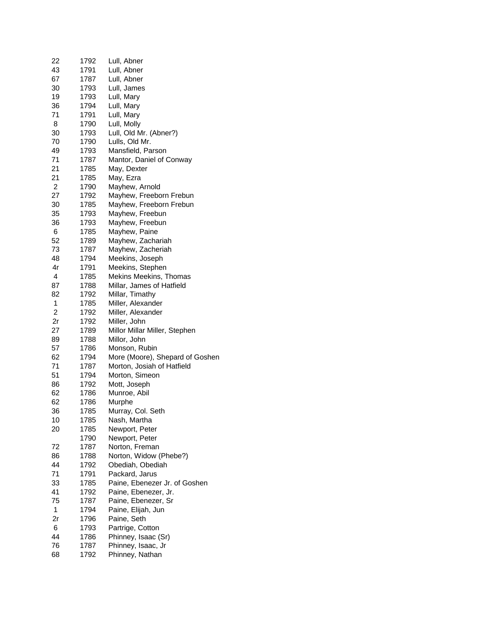| 22             | 1792 | Lull, Abner                     |
|----------------|------|---------------------------------|
| 43             | 1791 | Lull, Abner                     |
| 67             | 1787 | Lull, Abner                     |
| 30             | 1793 | Lull, James                     |
| 19             | 1793 | Lull, Mary                      |
| 36             | 1794 | Lull, Mary                      |
| 71             | 1791 | Lull, Mary                      |
| 8              | 1790 | Lull, Molly                     |
| 30             | 1793 | Lull, Old Mr. (Abner?)          |
|                |      |                                 |
| 70             | 1790 | Lulls, Old Mr.                  |
| 49             | 1793 | Mansfield, Parson               |
| 71             | 1787 | Mantor, Daniel of Conway        |
| 21             | 1785 | May, Dexter                     |
| 21             | 1785 | May, Ezra                       |
| $\overline{c}$ | 1790 | Mayhew, Arnold                  |
| 27             | 1792 | Mayhew, Freeborn Frebun         |
| 30             | 1785 | Mayhew, Freeborn Frebun         |
| 35             | 1793 | Mayhew, Freebun                 |
| 36             | 1793 | Mayhew, Freebun                 |
| 6              | 1785 | Mayhew, Paine                   |
| 52             | 1789 | Mayhew, Zachariah               |
| 73             | 1787 | Mayhew, Zacheriah               |
| 48             | 1794 | Meekins, Joseph                 |
| 4r             | 1791 | Meekins, Stephen                |
| 4              | 1785 | Mekins Meekins, Thomas          |
| 87             | 1788 | Millar, James of Hatfield       |
| 82             | 1792 | Millar, Timathy                 |
| 1              | 1785 | Miller, Alexander               |
| $\overline{2}$ | 1792 |                                 |
|                |      | Miller, Alexander               |
| 2r             | 1792 | Miller, John                    |
| 27             | 1789 | Millor Millar Miller, Stephen   |
| 89             | 1788 | Millor, John                    |
| 57             | 1786 | Monson, Rubin                   |
| 62             | 1794 | More (Moore), Shepard of Goshen |
| 71             | 1787 | Morton, Josiah of Hatfield      |
| 51             | 1794 | Morton, Simeon                  |
| 86             | 1792 | Mott, Joseph                    |
| 62             | 1786 | Munroe, Abil                    |
| 62             | 1786 | Murphe                          |
| 36             | 1785 | Murray, Col. Seth               |
| 10             | 1785 | Nash, Martha                    |
| 20             | 1785 | Newport, Peter                  |
|                | 1790 | Newport, Peter                  |
| 72             | 1787 | Norton, Freman                  |
| 86             | 1788 | Norton, Widow (Phebe?)          |
| 44             | 1792 | Obediah, Obediah                |
| 71             | 1791 | Packard, Jarus                  |
| 33             | 1785 | Paine, Ebenezer Jr. of Goshen   |
| 41             | 1792 | Paine, Ebenezer, Jr.            |
| 75             |      | Paine, Ebenezer, Sr             |
|                | 1787 |                                 |
| 1              | 1794 | Paine, Elijah, Jun              |
| 2r             | 1796 | Paine, Seth                     |
| 6              | 1793 | Partrige, Cotton                |
| 44             | 1786 | Phinney, Isaac (Sr)             |
| 76             | 1787 | Phinney, Isaac, Jr              |
| 68             | 1792 | Phinney, Nathan                 |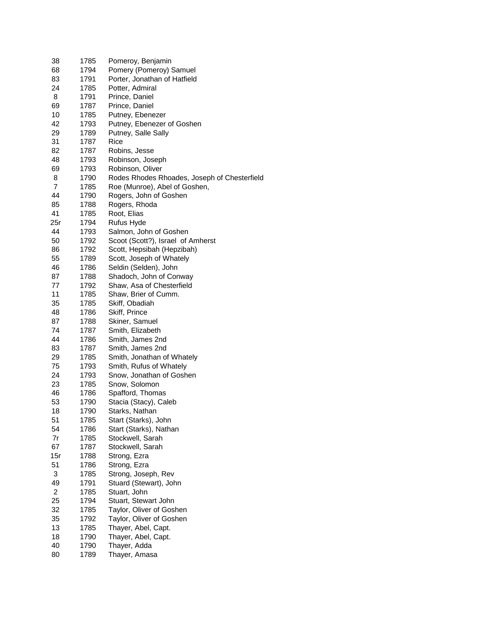| 38             | 1785 | Pomeroy, Benjamin                            |
|----------------|------|----------------------------------------------|
| 68             | 1794 | Pomery (Pomeroy) Samuel                      |
| 83             | 1791 | Porter, Jonathan of Hatfield                 |
| 24             | 1785 | Potter, Admiral                              |
| 8              | 1791 | Prince, Daniel                               |
| 69             | 1787 | Prince, Daniel                               |
| 10             | 1785 | Putney, Ebenezer                             |
| 42             | 1793 | Putney, Ebenezer of Goshen                   |
| 29             | 1789 |                                              |
|                |      | Putney, Salle Sally<br>Rice                  |
| 31             | 1787 |                                              |
| 82             | 1787 | Robins, Jesse                                |
| 48             | 1793 | Robinson, Joseph                             |
| 69             | 1793 | Robinson, Oliver                             |
| 8              | 1790 | Rodes Rhodes Rhoades, Joseph of Chesterfield |
| $\overline{7}$ | 1785 | Roe (Munroe), Abel of Goshen,                |
| 44             | 1790 | Rogers, John of Goshen                       |
| 85             | 1788 | Rogers, Rhoda                                |
| 41             | 1785 | Root, Elias                                  |
| 25r            | 1794 | Rufus Hyde                                   |
| 44             | 1793 | Salmon, John of Goshen                       |
| 50             | 1792 | Scoot (Scott?), Israel of Amherst            |
| 86             | 1792 | Scott, Hepsibah (Hepzibah)                   |
| 55             | 1789 | Scott, Joseph of Whately                     |
| 46             | 1786 | Seldin (Selden), John                        |
| 87             | 1788 | Shadoch, John of Conway                      |
| 77             | 1792 | Shaw, Asa of Chesterfield                    |
| 11             | 1785 | Shaw, Brier of Cumm.                         |
|                |      |                                              |
| 35             | 1785 | Skiff, Obadiah                               |
| 48             | 1786 | Skiff, Prince                                |
| 87             | 1788 | Skiner, Samuel                               |
| 74             | 1787 | Smith, Elizabeth                             |
| 44             | 1786 | Smith, James 2nd                             |
| 83             | 1787 | Smith, James 2nd                             |
| 29             | 1785 | Smith, Jonathan of Whately                   |
| 75             | 1793 | Smith, Rufus of Whately                      |
| 24             | 1793 | Snow, Jonathan of Goshen                     |
| 23             | 1785 | Snow, Solomon                                |
| 46             | 1786 | Spafford, Thomas                             |
| 53             | 1790 | Stacia (Stacy), Caleb                        |
| 18             | 1790 | Starks, Nathan                               |
| 51             | 1785 | Start (Starks), John                         |
| 54             | 1786 | Start (Starks), Nathan                       |
| 7r             | 1785 | Stockwell, Sarah                             |
| 67             | 1787 | Stockwell, Sarah                             |
| 15r            | 1788 | Strong, Ezra                                 |
| 51             |      |                                              |
|                | 1786 | Strong, Ezra                                 |
| 3              | 1785 | Strong, Joseph, Rev                          |
| 49             | 1791 | Stuard (Stewart), John                       |
| $\overline{c}$ | 1785 | Stuart, John                                 |
| 25             | 1794 | Stuart, Stewart John                         |
| 32             | 1785 | Taylor, Oliver of Goshen                     |
| 35             | 1792 | Taylor, Oliver of Goshen                     |
| 13             | 1785 | Thayer, Abel, Capt.                          |
| 18             | 1790 | Thayer, Abel, Capt.                          |
| 40             | 1790 | Thayer, Adda                                 |
| 80             | 1789 | Thayer, Amasa                                |
|                |      |                                              |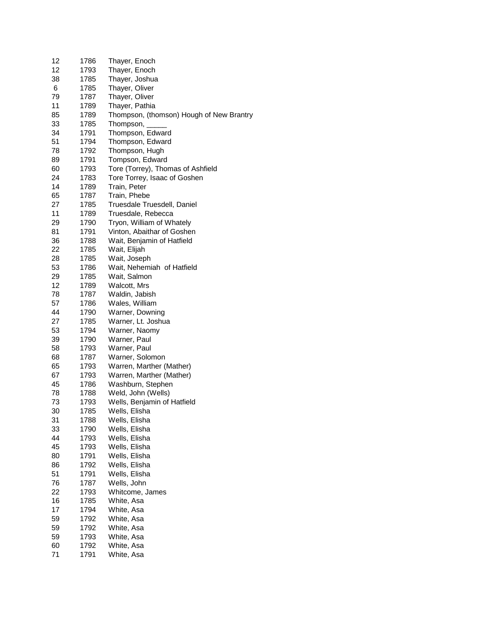| 12 | 1786 | Thayer, Enoch                            |
|----|------|------------------------------------------|
| 12 | 1793 | Thayer, Enoch                            |
| 38 | 1785 | Thayer, Joshua                           |
| 6  | 1785 | Thayer, Oliver                           |
| 79 | 1787 | Thayer, Oliver                           |
| 11 | 1789 | Thayer, Pathia                           |
| 85 | 1789 | Thompson, (thomson) Hough of New Brantry |
| 33 | 1785 | Thompson,                                |
| 34 | 1791 | Thompson, Edward                         |
| 51 | 1794 | Thompson, Edward                         |
| 78 | 1792 | Thompson, Hugh                           |
| 89 | 1791 | Tompson, Edward                          |
| 60 | 1793 | Tore (Torrey), Thomas of Ashfield        |
| 24 | 1783 | Tore Torrey, Isaac of Goshen             |
| 14 | 1789 | Train, Peter                             |
| 65 | 1787 | Train, Phebe                             |
| 27 | 1785 | Truesdale Truesdell, Daniel              |
| 11 | 1789 | Truesdale, Rebecca                       |
| 29 | 1790 | Tryon, William of Whately                |
| 81 | 1791 | Vinton, Abaithar of Goshen               |
| 36 | 1788 | Wait, Benjamin of Hatfield               |
| 22 | 1785 | Wait, Elijah                             |
| 28 | 1785 | Wait, Joseph                             |
| 53 | 1786 | Wait, Nehemiah of Hatfield               |
| 29 | 1785 | Wait, Salmon                             |
| 12 | 1789 | Walcott, Mrs                             |
| 78 | 1787 | Waldin, Jabish                           |
| 57 | 1786 | Wales, William                           |
| 44 | 1790 | Warner, Downing                          |
| 27 | 1785 | Warner, Lt. Joshua                       |
| 53 | 1794 | Warner, Naomy                            |
| 39 | 1790 | Warner, Paul                             |
| 58 | 1793 | Warner, Paul                             |
| 68 | 1787 | Warner, Solomon                          |
| 65 | 1793 |                                          |
|    |      | Warren, Marther (Mather)                 |
| 67 | 1793 | Warren, Marther (Mather)                 |
| 45 | 1786 | Washburn, Stephen                        |
| 78 | 1788 | Weld, John (Wells)                       |
| 73 | 1793 | Wells, Benjamin of Hatfield              |
| 30 | 1785 | Wells, Elisha                            |
| 31 | 1788 | Wells, Elisha                            |
| 33 | 1790 | Wells, Elisha                            |
| 44 | 1793 | Wells, Elisha                            |
| 45 | 1793 | Wells, Elisha                            |
| 80 | 1791 | Wells, Elisha                            |
| 86 | 1792 | Wells, Elisha                            |
| 51 | 1791 | Wells, Elisha                            |
| 76 | 1787 | Wells, John                              |
| 22 | 1793 | Whitcome, James                          |
| 16 | 1785 | White, Asa                               |
| 17 | 1794 | White, Asa                               |
| 59 | 1792 | White, Asa                               |
| 59 | 1792 | White, Asa                               |
| 59 | 1793 | White, Asa                               |
| 60 | 1792 | White, Asa                               |
| 71 | 1791 | White, Asa                               |